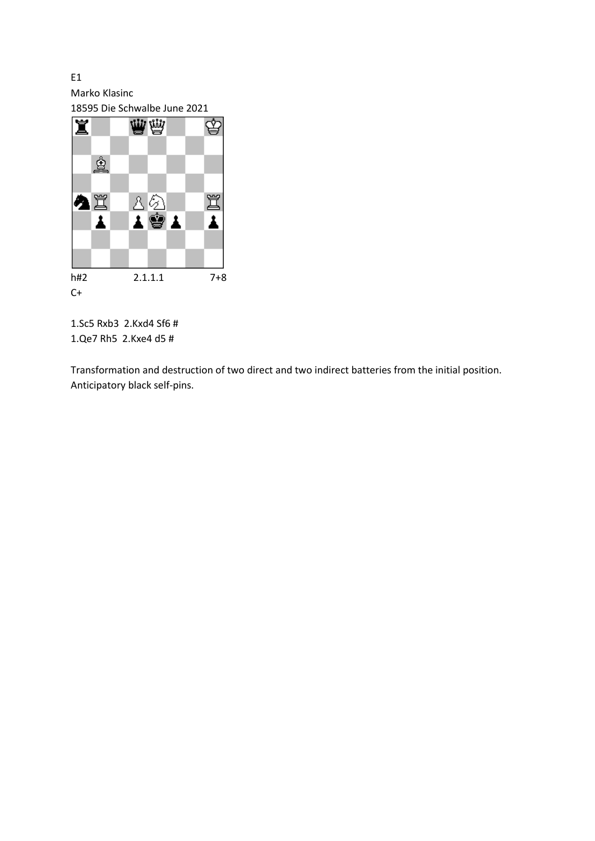E1 Marko Klasinc

18595 Die Schwalbe June 2021



1.Sc5 Rxb3 2.Kxd4 Sf6 # 1.Qe7 Rh5 2.Kxe4 d5 #

Transformation and destruction of two direct and two indirect batteries from the initial position. Anticipatory black self-pins.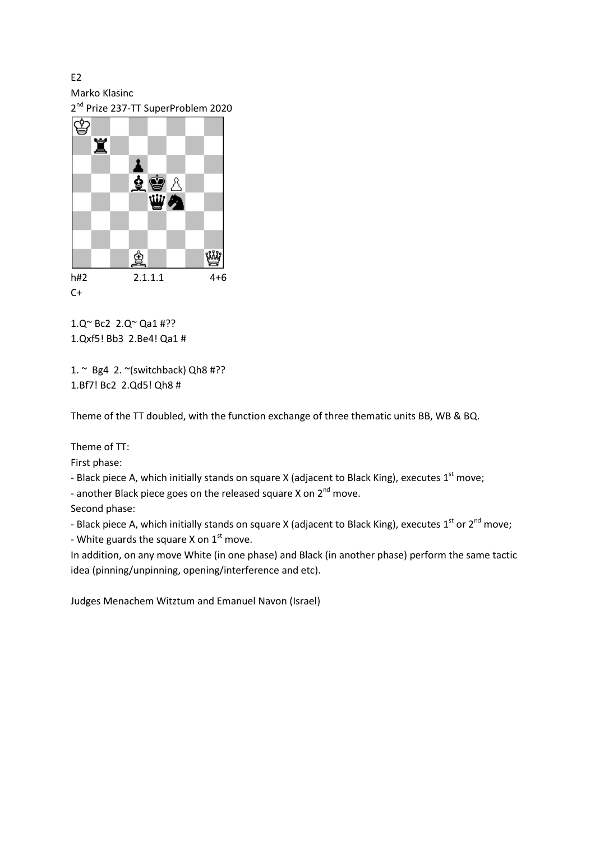E<sub>2</sub>

Marko Klasinc

2<sup>nd</sup> Prize 237-TT SuperProblem 2020



1.Q~ Bc2 2.Q~ Qa1 #?? 1.Qxf5! Bb3 2.Be4! Qa1 #

1.  $\sim$  Bg4 2.  $\sim$ (switchback) Qh8 #?? 1.Bf7! Bc2 2.Qd5! Qh8 #

Theme of the TT doubled, with the function exchange of three thematic units BB, WB & BQ.

Theme of TT:

First phase:

- Black piece A, which initially stands on square X (adjacent to Black King), executes  $1^{\text{st}}$  move;

- another Black piece goes on the released square X on  $2^{nd}$  move.

Second phase:

- Black piece A, which initially stands on square X (adjacent to Black King), executes 1<sup>st</sup> or 2<sup>nd</sup> move; - White guards the square X on 1<sup>st</sup> move.

In addition, on any move White (in one phase) and Black (in another phase) perform the same tactic idea (pinning/unpinning, opening/interference and etc).

Judges Menachem Witztum and Emanuel Navon (Israel)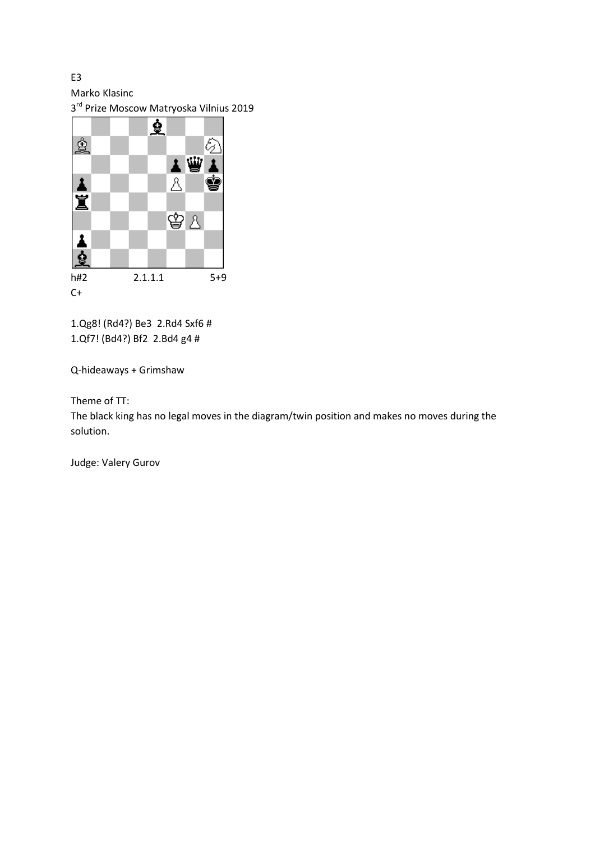Marko Klasinc

E3

3<sup>rd</sup> Prize Moscow Matryoska Vilnius 2019



1.Qg8! (Rd4?) Be3 2.Rd4 Sxf6 # 1.Qf7! (Bd4?) Bf2 2.Bd4 g4 #

Q-hideaways + Grimshaw

Theme of TT:

The black king has no legal moves in the diagram/twin position and makes no moves during the solution.

Judge: Valery Gurov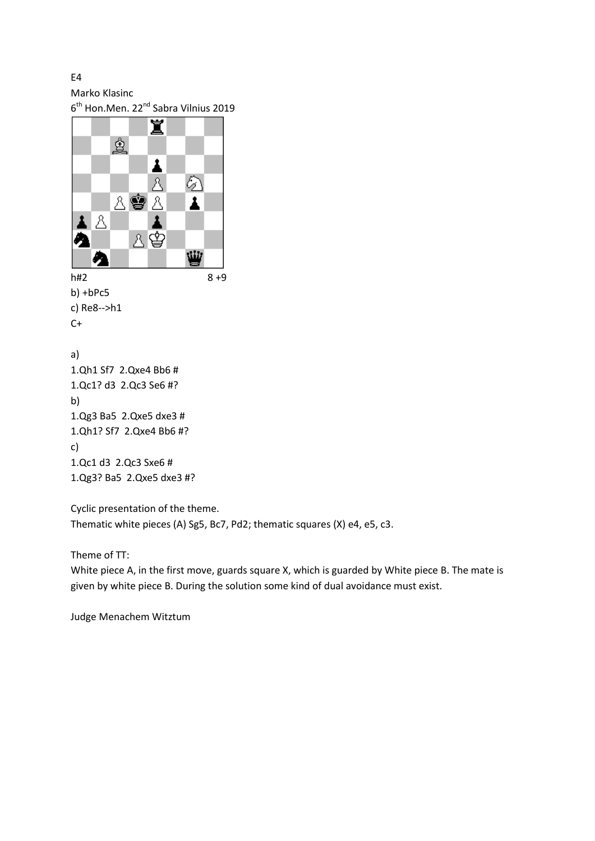E4

Marko Klasinc

6<sup>th</sup> Hon.Men. 22<sup>nd</sup> Sabra Vilnius 2019



b) 1.Qg3 Ba5 2.Qxe5 dxe3 # 1.Qh1? Sf7 2.Qxe4 Bb6 #? c) 1.Qc1 d3 2.Qc3 Sxe6 # 1.Qg3? Ba5 2.Qxe5 dxe3 #?

Cyclic presentation of the theme. Thematic white pieces (A) Sg5, Bc7, Pd2; thematic squares (X) e4, e5, c3.

Theme of TT:

White piece A, in the first move, guards square X, which is guarded by White piece B. The mate is given by white piece B. During the solution some kind of dual avoidance must exist.

Judge Menachem Witztum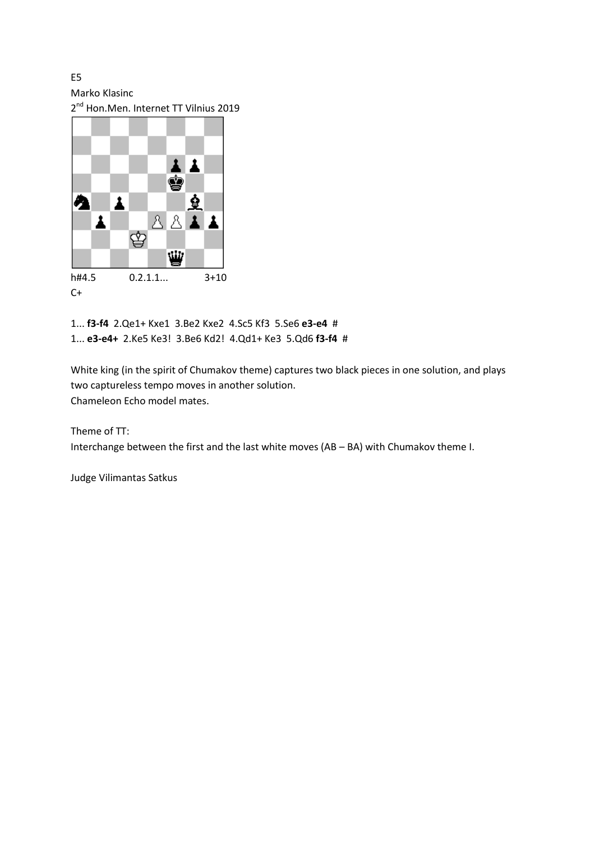E5

Marko Klasinc

2<sup>nd</sup> Hon.Men. Internet TT Vilnius 2019



1... **f3-f4** 2.Qe1+ Kxe1 3.Be2 Kxe2 4.Sc5 Kf3 5.Se6 **e3-e4** # 1... **e3-e4+** 2.Ke5 Ke3! 3.Be6 Kd2! 4.Qd1+ Ke3 5.Qd6 **f3-f4** #

White king (in the spirit of Chumakov theme) captures two black pieces in one solution, and plays two captureless tempo moves in another solution. Chameleon Echo model mates.

Theme of TT: Interchange between the first and the last white moves (AB – BA) with Chumakov theme I.

Judge Vilimantas Satkus